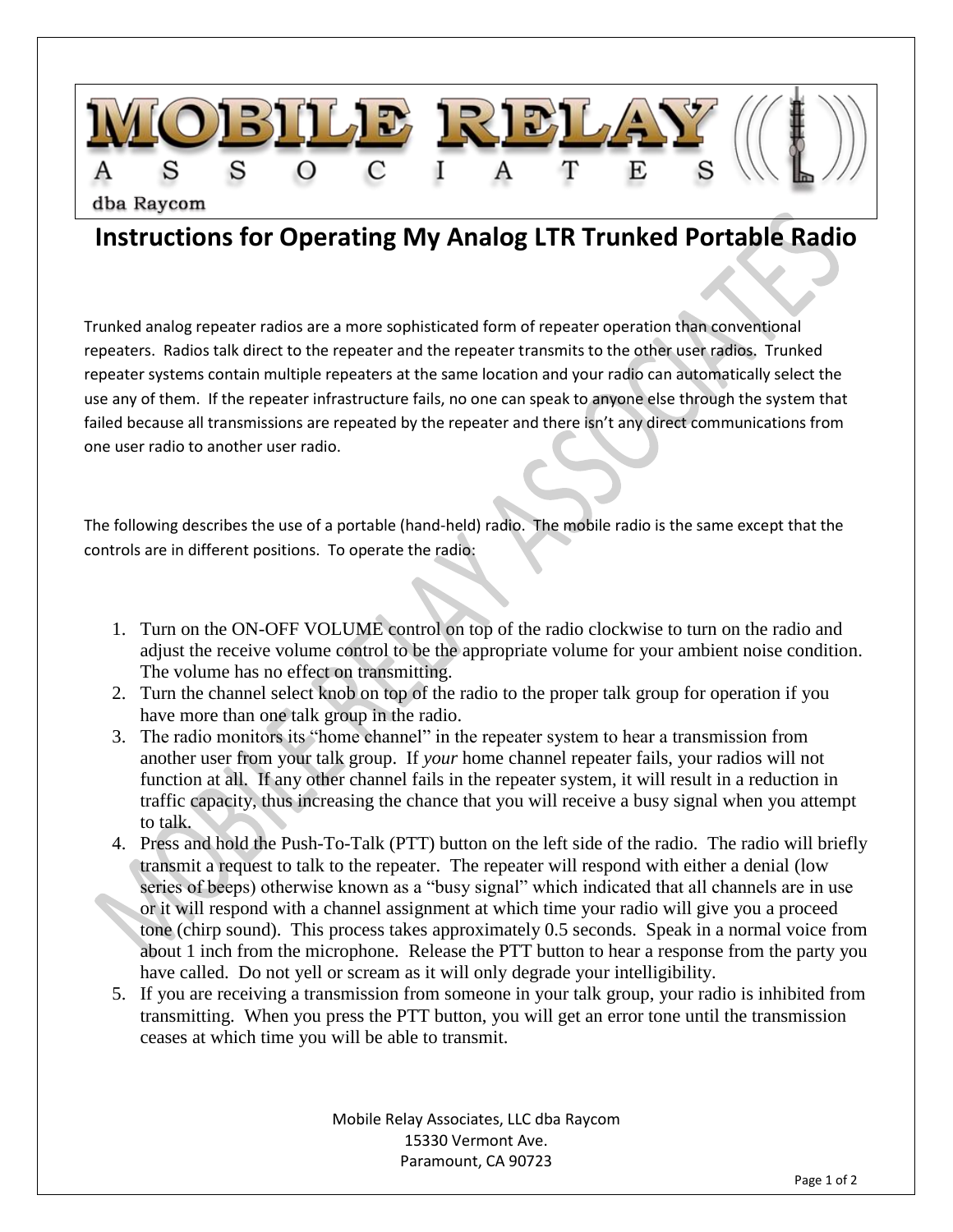

## **Instructions for Operating My Analog LTR Trunked Portable Radio**

Trunked analog repeater radios are a more sophisticated form of repeater operation than conventional repeaters. Radios talk direct to the repeater and the repeater transmits to the other user radios. Trunked repeater systems contain multiple repeaters at the same location and your radio can automatically select the use any of them. If the repeater infrastructure fails, no one can speak to anyone else through the system that failed because all transmissions are repeated by the repeater and there isn't any direct communications from one user radio to another user radio.

The following describes the use of a portable (hand-held) radio. The mobile radio is the same except that the controls are in different positions. To operate the radio:

- 1. Turn on the ON-OFF VOLUME control on top of the radio clockwise to turn on the radio and adjust the receive volume control to be the appropriate volume for your ambient noise condition. The volume has no effect on transmitting.
- 2. Turn the channel select knob on top of the radio to the proper talk group for operation if you have more than one talk group in the radio.
- 3. The radio monitors its "home channel" in the repeater system to hear a transmission from another user from your talk group. If *your* home channel repeater fails, your radios will not function at all. If any other channel fails in the repeater system, it will result in a reduction in traffic capacity, thus increasing the chance that you will receive a busy signal when you attempt to talk.
- 4. Press and hold the Push-To-Talk (PTT) button on the left side of the radio. The radio will briefly transmit a request to talk to the repeater. The repeater will respond with either a denial (low series of beeps) otherwise known as a "busy signal" which indicated that all channels are in use or it will respond with a channel assignment at which time your radio will give you a proceed tone (chirp sound). This process takes approximately 0.5 seconds. Speak in a normal voice from about 1 inch from the microphone. Release the PTT button to hear a response from the party you have called. Do not yell or scream as it will only degrade your intelligibility.
- 5. If you are receiving a transmission from someone in your talk group, your radio is inhibited from transmitting. When you press the PTT button, you will get an error tone until the transmission ceases at which time you will be able to transmit.

Mobile Relay Associates, LLC dba Raycom 15330 Vermont Ave. Paramount, CA 90723